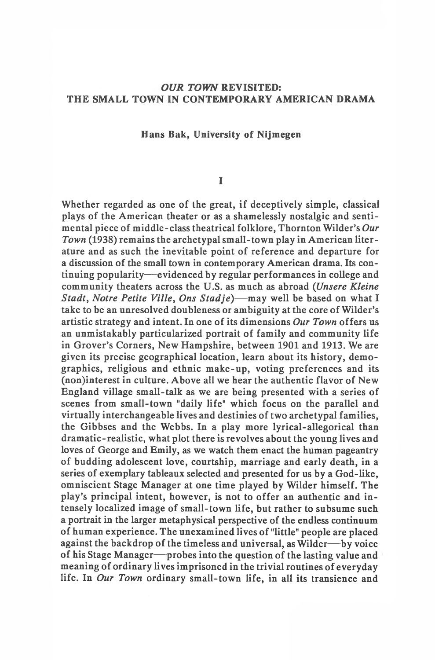# *OUR TOWN* **REVISITED: THE SMALL TOWN IN CONTEMPORARY AMERICAN DRAMA**

#### **Hans Bak, University of Nijmegen**

## **I**

Whether regarded as one of the great, if deceptively simple, classical plays of the American theater or as a shamelessly nostalgic and sentimental piece of middle-class theatrical folklore, Thornton Wilder's *Our Town* (1938) remains the archetypal small-town play in American literature and as such the inevitable point of reference and departure for a discussion of the small town in contemporary American drama. Its continuing popularity— evidenced by regular performances in college and community theaters across the U.S. as much as abroad *(Unsere Kleine Stadt, Notre Petite Ville, Ons Stadje*)— may well be based on what I take to be an unresolved doubleness or ambiguity at the core of Wilder's artistic strategy and intent. In one of its dimensions *Our Town* offers us an unmistakably particularized portrait of family and community life in Grover's Corners, New Hampshire, between 1901 and 1913. We are given its precise geographical location, learn about its history, demographics, religious and ethnic make-up, voting preferences and its (non)interest in culture. Above all we hear the authentic flavor of New England village small-talk as we are being presented with a series of scenes from small-town "daily life" which focus on the parallel and virtually interchangeable lives and destinies of two archetypal families, the Gibbses and the Webbs. In a play more lyrical-allegorical than dramatic-realistic, what plot there is revolves about the young lives and loves of George and Emily, as we watch them enact the human pageantry of budding adolescent love, courtship, marriage and early death, in a series of exemplary tableaux selected and presented for us by a God-like, omniscient Stage Manager at one time played by Wilder himself. The play's principal intent, however, is not to offer an authentic and intensely localized image of small-town life, but rather to subsume such a portrait in the larger metaphysical perspective of the endless continuum of human experience. The unexamined lives of "little" people are placed against the backdrop of the timeless and universal, as Wilder— by voice of his Stage Manager— probes into the question of the lasting value and meaning of ordinary lives imprisoned in the trivial routines of everyday life. In *Our Town* ordinary small-town life, in all its transience and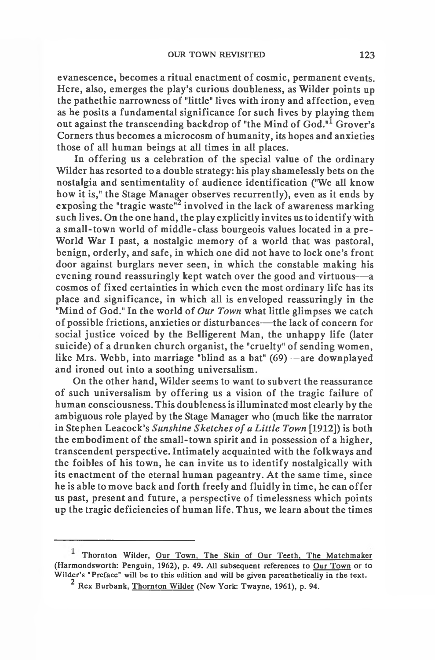evanescence, becomes a ritual enactment of cosmic, permanent events. Here, also, emerges the play's curious doubleness, as Wilder points up the pathethic narrowness of "little" lives with irony and affection, even as he posits a fundamental significance for such lives by playing them out against the transcending backdrop of "the Mind of God."<sup>1</sup> Grover's Corners thus becomes a microcosm of humanity, its hopes and anxieties those of all human beings at all times in all places.

In offering us a celebration of the special value of the ordinary Wilder has resorted to a double strategy: his play shamelessly bets on the nostalgia and sentimentality of audience identification ("We all know how it is," the Stage Manager observes recurrently), even as it ends by exposing the "tragic waste"<sup>2</sup> involved in the lack of awareness marking such lives. On the one hand, the play explicitly invites us to identify with a small-town world of middle-class bourgeois values located in a pre-World War I past, a nostalgic memory of a world that was pastoral, benign, orderly, and safe, in which one did not have to lock one's front door against burglars never seen, in which the constable making his evening round reassuringly kept watch over the good and virtuous— a cosmos of fixed certainties in which even the most ordinary life has its place and significance, in which all is enveloped reassuringly in the "Mind of God." In the world of *Our Town* what little glimpses we catch of possible frictions, anxieties or disturbances— the lack of concern for social justice voiced by the Belligerent Man, the unhappy life (later suicide) of a drunken church organist, the "cruelty" of sending women, like Mrs. Webb, into marriage "blind as a bat" (69)— are downplayed and ironed out into a soothing universalism.

On the other hand, Wilder seems to want to subvert the reassurance of such universalism by offering us a vision of the tragic failure of human consciousness. This doubleness is illuminated most clearly by the ambiguous role played by the Stage Manager who (much like the narrator in Stephen Leacock's *Sunshine Sketches of a Little Town* [1912]) is both the embodiment of the small-town spirit and in possession of a higher, transcendent perspective. Intimately acquainted with the folkways and the foibles of his town, he can invite us to identify nostalgically with its enactment of the eternal human pageantry. At the same time, since he is able to move back and forth freely and fluidly in time, he can offer us past, present and future, a perspective of timelessness which points up the tragic deficiencies of human life. Thus, we learn about the times

**Thornton Wilder, Our Town, The Skin of Our Teeth, The Matchmaker (Harmondsworth: Penguin, 1962), p. 49. All subsequent references to Our Town or to Wilder's "Preface" will be to this edition and will be given parenthetically in the text.**

**<sup>2</sup> Rex Burbank, Thornton Wilder (New York: Twayne, 1961), p. 94.**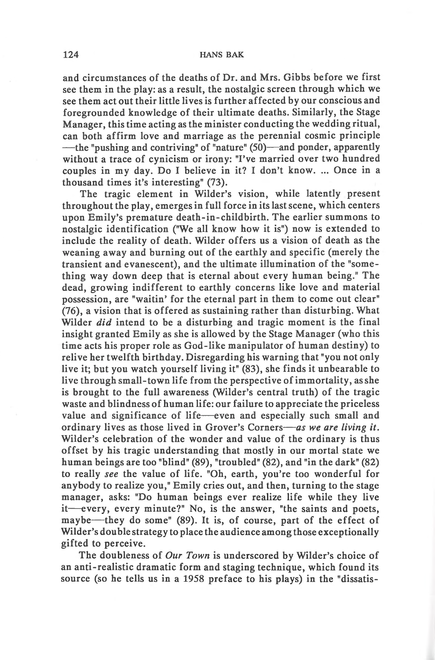and circumstances of the deaths of Dr. and Mrs. Gibbs before we first see them in the play: as a result, the nostalgic screen through which we see them act out their little lives is further affected by our conscious and foregrounded knowledge of their ultimate deaths. Similarly, the Stage Manager, this time acting as the minister conducting the wedding ritual, can both affirm love and marriage as the perennial cosmic principle — the "pushing and contriving" of "nature" (50)— and ponder, apparently without a trace of cynicism or irony: "I've married over two hundred couples in my day. Do I believe in it? I don't know. ... Once in a thousand times it's interesting" (73).

The tragic element in Wilder's vision, while latently present throughout the play, emerges in full force in its last scene, which centers upon Emily's premature death-in-childbirth. The earlier summons to nostalgic identification ("We all know how it is") now is extended to include the reality of death. Wilder offers us a vision of death as the weaning away and burning out of the earthly and specific (merely the transient and evanescent), and the ultimate illumination of the "something way down deep that is eternal about every human being." The dead, growing indifferent to earthly concerns like love and material possession, are "waitin' for the eternal part in them to come out clear" (76), a vision that is offered as sustaining rather than disturbing. What Wilder *did* intend to be a disturbing and tragic moment is the final insight granted Emily as she is allowed by the Stage Manager (who this time acts his proper role as God-like manipulator of human destiny) to relive her twelfth birthday. Disregarding his warning that "you not only live it; but you watch yourself living it" (83), she finds it unbearable to live through small-town life from the perspective of immortality, as she is brought to the full awareness (Wilder's central truth) of the tragic waste and blindness of human life: our failure to appreciate the priceless value and significance of life— even and especially such small and ordinary lives as those lived in Grover's Corners*— as we are living it.* Wilder's celebration of the wonder and value of the ordinary is thus offset by his tragic understanding that mostly in our mortal state we human beings are too "blind" (89), "troubled" (82), and "in the dark" (82) to really *see* the value of life. "Oh, earth, you're too wonderful for anybody to realize you," Emily cries out, and then, turning to the stage manager, asks: "Do human beings ever realize life while they live it— every, every minute?" No, is the answer, "the saints and poets, maybe— they do some" (89). It is, of course, part of the effect of Wilder's double strategy to place the audience among those exceptionally gifted to perceive.

The doubleness of *Our Town* is underscored by Wilder's choice of an anti-realistic dramatic form and staging technique, which found its source (so he tells us in a 1958 preface to his plays) in the "dissatis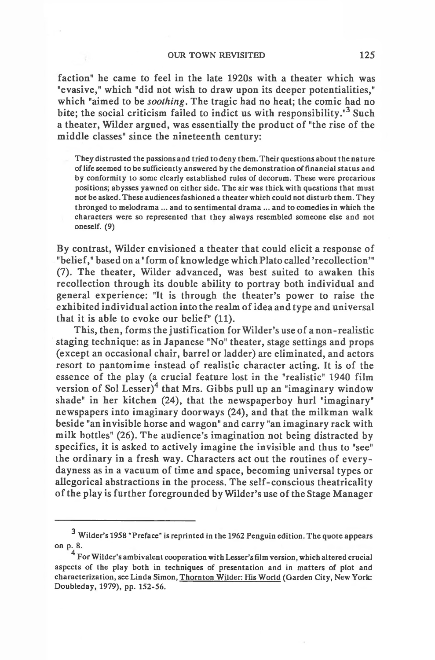faction" he came to feel in the late 1920s with a theater which was "evasive," which "did not wish to draw upon its deeper potentialities," which "aimed to be *soothing.* The tragic had no heat; the comic had no bite; the social criticism failed to indict us with responsibility.<sup>"3</sup> Such a theater, Wilder argued, was essentially the product of "the rise of the middle classes" since the nineteenth century:

**They distrusted the passions and tried to deny them. Their questions about the nature of life seemed to be sufficiently answered by the demonstration of financial status and by conformity to some clearly established rules of decorum. These were precarious positions; abysses yawned on either side. The air was thick with questions that must not be asked. These audiences fashioned a theater which could not disturb them. They thronged to melodrama ... and to sentimental drama ... and to comedies in which the characters were so represented that they always resembled someone else and not oneself. (9)**

By contrast, Wilder envisioned a theater that could elicit a response of "belief," based on a "form of knowledge which Plato called 'recollection'" (7). The theater, Wilder advanced, was best suited to awaken this recollection through its double ability to portray both individual and general experience: "It is through the theater's power to raise the exhibited individual action into the realm of idea and type and universal that it is able to evoke our belief" (11).

This, then, forms the justification for Wilder's use of a non-realistic staging technique: as in Japanese "No" theater, stage settings and props (except an occasional chair, barrel or ladder) are eliminated, and actors resort to pantomime instead of realistic character acting. It is of the essence of the play (a crucial feature lost in the "realistic" 1940 film version of Sol Lesser)<sup>4</sup> that Mrs. Gibbs pull up an "imaginary window shade" in her kitchen (24), that the newspaperboy hurl "imaginary" newspapers into imaginary doorways (24), and that the milkman walk beside "an invisible horse and wagon" and carry "an imaginary rack with milk bottles" (26). The audience's imagination not being distracted by specifics, it is asked to actively imagine the invisible and thus to "see" the ordinary in a fresh way. Characters act out the routines of everydayness as in a vacuum of time and space, becoming universal types or allegorical abstractions in the process. The self-conscious theatricality of the play is further foregrounded by Wilder's use of the Stage Manager

<sup>3</sup> **Wilder's 1958 "Preface" is reprinted in the 1962 Penguin edition. The quote appears** on p. 8.

**For Wilder's ambivalent cooperation with Lesser's film version, which altered crucial aspects of the play both in techniques of presentation and in matters of plot and characterization, see Linda Simon, Thornton Wilder: His World (Garden City, New York: Doubleday, 1979), pp. 152-56.**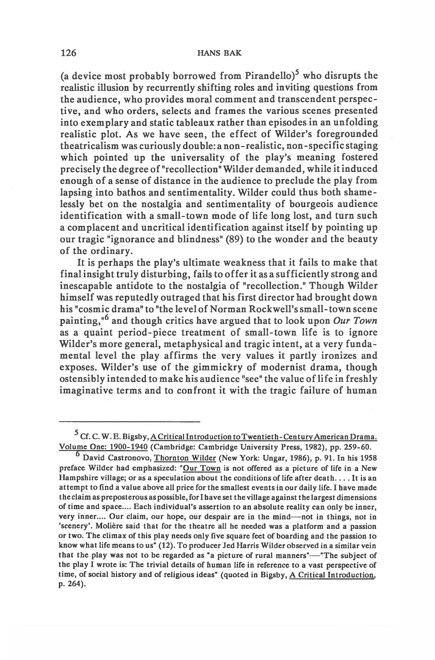(a device most probably borrowed from Pirandello)<sup>5</sup> who disrupts the realistic illusion by recurrently shifting roles and inviting questions from the audience, who provides moral comment and transcendent perspective, and who orders, selects and frames the various scenes presented into exemplary and static tableaux rather than episodes in an unfolding realistic plot. As we have seen, the effect of Wilder's foregrounded theatricalism was curiously double: a non-realistic, non-specific staging which pointed up the universality of the play's meaning fostered precisely the degree of "recollection" Wilder demanded, while it induced enough of a sense of distance in the audience to preclude the play from lapsing into bathos and sentimentality. Wilder could thus both shamelessly bet on the nostalgia and sentimentality of bourgeois audience identification with a small-town mode of life long lost, and turn such a complacent and uncritical identification against itself by pointing up our tragic "ignorance and blindness" (89) to the wonder and the beauty of the ordinary.

It is perhaps the play's ultimate weakness that it fails to make that final insight truly disturbing, fails to offer it as a sufficiently strong and inescapable antidote to the nostalgia of "recollection." Though Wilder himself was reputedly outraged that his first director had brought down his "cosmic drama" to "the level of Norman Rockwell's small- town scene painting,"6 and though critics have argued that to look upon *Our Town* as a quaint period-piece treatment of small-town life is to ignore Wilder's more general, metaphysical and tragic intent, at a very fundamental level the play affirms the very values it partly ironizes and exposes. Wilder's use of the gimmickry of modernist drama, though ostensibly intended to make his audience "see" the value of life in freshly imaginative terms and to confront it with the tragic failure of human

**<sup>5</sup> Cf. C. W. E. Bigsby, A Critical Introduction toTwentieth- Century American Drama. Volume One: 1900-1940 (Cambridge: Cambridge University Press, 1982), pp. 259-60.**

**<sup>6</sup> David Castronovo, Thornton Wilder (New York: Ungar, 1986), p. 91. In his 1958 preface Wilder had emphasized: "Our Town is not offered as a picture of life in a New Hampshire village; or as a speculation about the conditions of life after death .. . . It is an attempt to find a value above all price for the smallest events in our daily life. I have made the claim as preposterous as possible, for I have set the village against the largest dimensions of time and space.... Each individual's assertion to an absolute reality can only be inner, very inner.... Our claim, our hope, our despair are in the mind— not in things, not in 'scenery'. Molière said that for the theatre all he needed was a platform and a passion or two. The climax of this play needs only five square feet of boarding and the passion to know what life means to us" (12). To producer Jed Harris Wilder observed in a similar vein that the play was not to be regarded as "a picture of rural manners"— "The subject of the play I wrote is: The trivial details of human life in reference to a vast perspective of time, of social history and of religious ideas" (quoted in Bigsby, A Critical Introduction, p. 264).**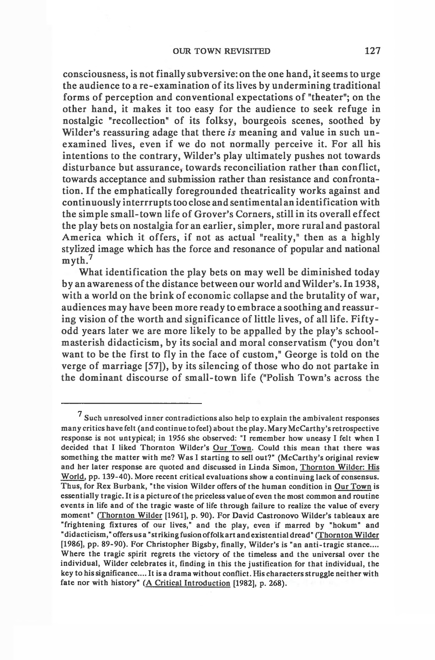consciousness, is not finally subversive: on the one hand, it seems to urge the audience to a re-examination of its lives by undermining traditional forms of perception and conventional expectations of "theater"; on the other hand, it makes it too easy for the audience to seek refuge in nostalgic "recollection" of its folksy, bourgeois scenes, soothed by Wilder's reassuring adage that there *is* meaning and value in such unexamined lives, even if we do not normally perceive it. For all his intentions to the contrary, Wilder's play ultimately pushes not towards disturbance but assurance, towards reconciliation rather than conflict, towards acceptance and submission rather than resistance and confrontation. If the emphatically foregrounded theatricality works against and continuously interrrupts too close and sentimental an identification with the simple small-town life of Grover's Corners, still in its overall effect the play bets on nostalgia for an earlier, simpler, more rural and pastoral America which it offers, if not as actual "reality," then as a highly stylized image which has the force and resonance of popular and national myth.<sup>7</sup>

What identification the play bets on may well be diminished today by an awareness of the distance between our world and Wilder's. In 1938, with a world on the brink of economic collapse and the brutality of war, audiences may have been more ready to embrace a soothing and reassuring vision of the worth and significance of little lives, of all life. Fiftyodd years later we are more likely to be appalled by the play's schoolmasterish didacticism, by its social and moral conservatism ("you don't want to be the first to fly in the face of custom," George is told on the verge of marriage [57]), by its silencing of those who do not partake in the dominant discourse of small-town life ("Polish Town's across the

<sup>7</sup> **Such unresolved inner contradictions also help to explain the ambivalent responses many critics have felt (and continue to feel) about the play. Mary McCarthy's retrospective response is not untypical; in 1956 she observed: "I remember how uneasy I felt when I decided that I liked Thornton Wilder's Our Town. Could this mean that there was something the matter with me? Was I starting to sell out?" (McCarthy's original review and her later response are quoted and discussed in Linda Simon, Thornton Wilder: His World, pp. 139-40). More recent critical evaluations show a continuing lack of consensus. Thus, for Rex Burbank, "the vision Wilder offers of the human condition in Our Town is essentially tragic. It is a picture of the priceless value of even the most common and routine events in life and of the tragic waste of life through failure to realize the value of every moment" (Thornton Wilder [1961], p. 90). For David Castronovo Wilder's tableaux are "frightening fixtures of our lives," and the play, even if marred by "hokum" and "didacticism,"offers usa "striking fusion offolk art and existential dread" (Thornton Wilder [1986], pp. 89-90). For Christopher Bigsby, finally, Wilder's is "an anti-tragic stance.... Where the tragic spirit regrets the victory of the timeless and the universal over the individual, Wilder celebrates it, finding in this the justification for that individual, the key to his significance.... It is a drama without conflict. His characters struggle neither with fate nor with history" (A Critical Introduction [1982], p. 268).**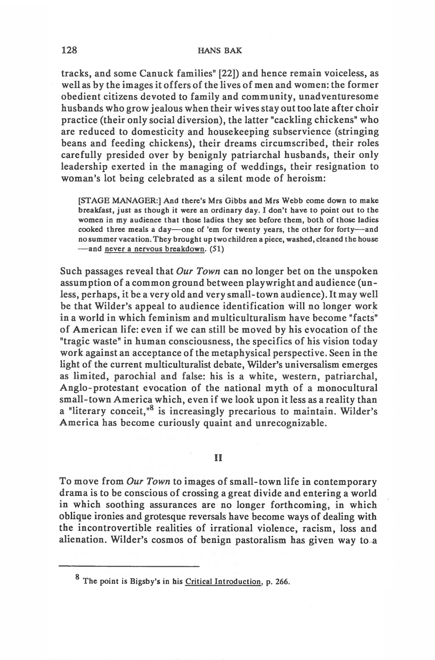### **128 HANS BAK**

tracks, and some Canuck families" [22]) and hence remain voiceless, as well as by the images it offers of the lives of men and women: the former obedient citizens devoted to family and community, unadventuresome husbands who grow jealous when their wives stay out too late after choir practice (their only social diversion), the latter "cackling chickens" who are reduced to domesticity and housekeeping subservience (stringing beans and feeding chickens), their dreams circumscribed, their roles carefully presided over by benignly patriarchal husbands, their only leadership exerted in the managing of weddings, their resignation to woman's lot being celebrated as a silent mode of heroism:

**[STAGE MANAGER:] And there's Mrs Gibbs and Mrs Webb come down to make breakfast, just as though it were an ordinary day. I don't have to point out to the women in my audience that those ladies they see before them, both of those ladies cooked three meals a day— one of 'em for twenty years, the other for forty— and no summer vacation. They brought up two children a piece, washed, cleaned the house — and never a nervous breakdown. (51)**

Such passages reveal that *Our Town* can no longer bet on the unspoken assumption of a common ground between playwright and audience (unless, perhaps, it be a very old and very small-town audience). It may well be that Wilder's appeal to audience identification will no longer work in a world in which feminism and multiculturalism have become "facts" of American life: even if we can still be moved by his evocation of the "tragic waste" in human consciousness, the specifics of his vision today work against an acceptance of the metaphysical perspective. Seen in the light of the current multiculturalist debate, Wilder's universalism emerges as limited, parochial and false: his is a white, western, patriarchal, Anglo-protestant evocation of the national myth of a monocultural small-town America which, even if we look upon it less as a reality than a "literary conceit,"8 is increasingly precarious to maintain. Wilder's America has become curiously quaint and unrecognizable.

#### **II**

To move from *Our Town* to images of small-town life in contemporary drama is to be conscious of crossing a great divide and entering a world in which soothing assurances are no longer forthcoming, in which oblique ironies and grotesque reversals have become ways of dealing with the incontrovertible realities of irrational violence, racism, loss and alienation. Wilder's cosmos of benign pastoralism has given way to a

g **The point is Bigsby's in his Critical Introduction, p. 266.**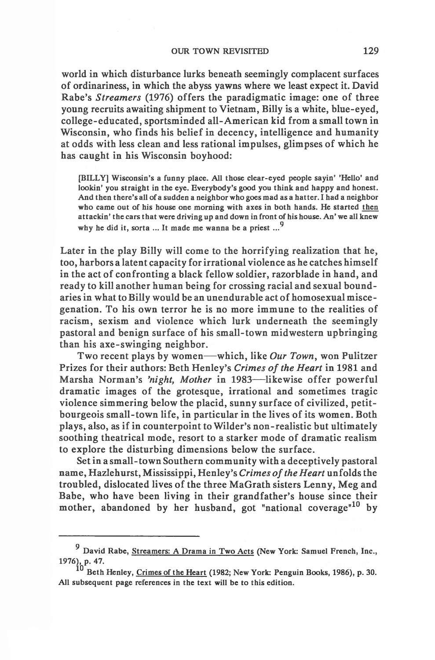world in which disturbance lurks beneath seemingly complacent surfaces of ordinariness, in which the abyss yawns where we least expect it. David Rabe's *Streamers* (1976) offers the paradigmatic image: one of three young recruits awaiting shipment to Vietnam, Billy is a white, blue-eyed, college-educated, sportsminded all-American kid from a small town in Wisconsin, who finds his belief in decency, intelligence and humanity at odds with less clean and less rational impulses, glimpses of which he has caught in his Wisconsin boyhood:

**[BILLY] Wisconsin's a funny place. All those clear-eyed people sayin' 'Hello' and lookin' you straight in the eye. Everybody's good you think and happy and honest. And then there's all of a sudden a neighbor who goes mad as a hatter. I had a neighbor who came out of his house one morning with axes in both hands. He started then attackin' the cars that were driving up and down in front of his house. An' we all knew 9 why he did it, sorta ... It made me wanna be a priest ...**

Later in the play Billy will come to the horrifying realization that he, too, harbors a latent capacity for irrational violence as he catches himself in the act of confronting a black fellow soldier, razorblade in hand, and ready to kill another human being for crossing racial and sexual boundaries in what to Billy would be an unendurable act of homosexual miscegenation. To his own terror he is no more immune to the realities of racism, sexism and violence which lurk underneath the seemingly pastoral and benign surface of his small-town midwestern upbringing than his axe-swinging neighbor.

Two recent plays by women— which, like *Our Town,* won Pulitzer Prizes for their authors: Beth Henley's *Crimes of the Heart* in 1981 and Marsha Norman's *'night, Mother* in 1983— likewise offer powerful dramatic images of the grotesque, irrational and sometimes tragic violence simmering below the placid, sunny surface of civilized, petitbourgeois small-town life, in particular in the lives of its women. Both plays, also, as if in counterpoint to Wilder's non-realistic but ultimately soothing theatrical mode, resort to a starker mode of dramatic realism to explore the disturbing dimensions below the surface.

Set in a small-town Southern community with a deceptively pastoral name, Hazlehurst, Mississippi, Henley's *Crimes of the Heart* unfolds the troubled, dislocated lives of the three MaGrath sisters Lenny, Meg and Babe, who have been living in their grandfather's house since their mother, abandoned by her husband, got "national coverage"<sup>10</sup> by

**<sup>9</sup> David Rabe, Streamers: A Drama in Two Acts (New York: Samuel French, Inc., 1976), p. 47.**

**<sup>0</sup> Beth Henley, Crimes of the Heart (1982; New York: Penguin Books, 1986), p. 30. All subsequent page references in the text will be to this edition.**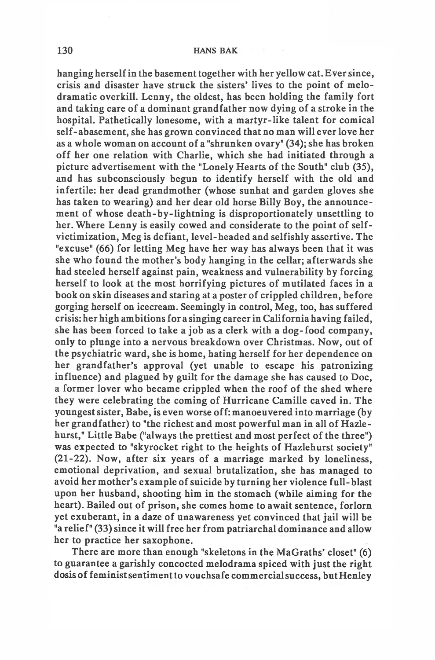### **130 HANS BAK**

hanging herself in the basement together with her yellow cat. Ever since, crisis and disaster have struck the sisters' lives to the point of melodramatic overkill. Lenny, the oldest, has been holding the family fort and taking care of a dominant grandfather now dying of a stroke in the hospital. Pathetically lonesome, with a martyr-like talent for comical self-abasement, she has grown convinced that no man will ever love her as a whole woman on account of a "shrunken ovary" (34); she has broken off her one relation with Charlie, which she had initiated through a picture advertisement with the "Lonely Hearts of the South" club (35), and has subconsciously begun to identify herself with the old and infertile: her dead grandmother (whose sunhat and garden gloves she has taken to wearing) and her dear old horse Billy Boy, the announcement of whose death-by-lightning is disproportionately unsettling to her. Where Lenny is easily cowed and considerate to the point of selfvictimization, Meg is defiant, level-headed and selfishly assertive. The "excuse" (66) for letting Meg have her way has always been that it was she who found the mother's body hanging in the cellar; afterwards she had steeled herself against pain, weakness and vulnerability by forcing herself to look at the most horrifying pictures of mutilated faces in a book on skin diseases and staring at a poster of crippled children, before gorging herself on icecream. Seemingly in control, Meg, too, has suffered crisis: her high ambitions for a singing career in California having failed, she has been forced to take a job as a clerk with a dog-food company, only to plunge into a nervous breakdown over Christmas. Now, out of the psychiatric ward, she is home, hating herself for her dependence on her grandfather's approval (yet unable to escape his patronizing influence) and plagued by guilt for the damage she has caused to Doc, a former lover who became crippled when the roof of the shed where they were celebrating the coming of Hurricane Camille caved in. The youngest sister, Babe, is even worse off: manoeuvered into marriage (by her grandfather) to "the richest and most powerful man in all of Hazlehurst," Little Babe ("always the prettiest and most perfect of the three") was expected to "skyrocket right to the heights of Hazlehurst society" (21-22). Now, after six years of a marriage marked by loneliness, emotional deprivation, and sexual brutalization, she has managed to avoid her mother's example of suicide by turning her violence full-blast upon her husband, shooting him in the stomach (while aiming for the heart). Bailed out of prison, she comes home to await sentence, forlorn yet exuberant, in a daze of unawareness yet convinced that jail will be "a relief" (33) since it will free her from patriarchal dominance and allow her to practice her saxophone.

There are more than enough "skeletons in the MaGraths' closet" (6) to guarantee a garishly concocted melodrama spiced with just the right dosis of feminist sentiment to vouchsafe commercial success, but Henley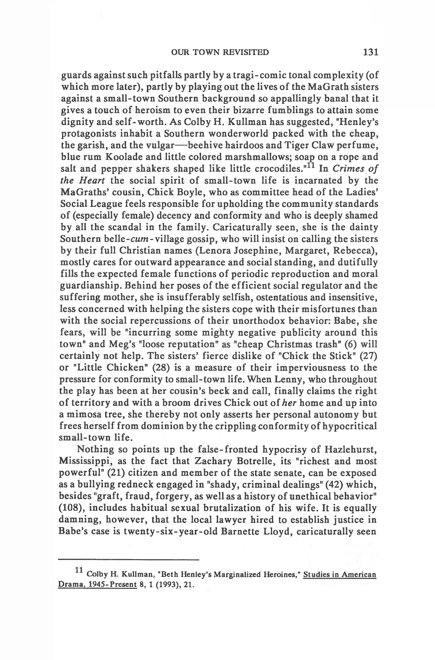guards against such pitfalls partly by a tragi-comic tonal complexity (of which more later), partly by playing out the lives of the MaGrath sisters against a small-town Southern background so appallingly banal that it gives a touch of heroism to even their bizarre fumblings to attain some dignity and self-worth. As Colby H. Kullman has suggested, "Henley's protagonists inhabit a Southern wonder world packed with the cheap, the garish, and the vulgar— beehive hairdoos and Tiger Claw perfume, blue rum Koolade and little colored marshmallows; soap on a rope and salt and pepper shakers shaped like little crocodiles."<sup>11</sup> In *Crimes of the Heart* the social spirit of small-town life is incarnated by the MaGraths' cousin, Chick Boyle, who as committee head of the Ladies' Social League feels responsible for upholding the community standards of (especially female) decency and conformity and who is deeply shamed by all the scandal in the family. Caricaturally seen, she is the dainty Southern belle- $cum$ - village gossip, who will insist on calling the sisters by their full Christian names (Lenora Josephine, Margaret, Rebecca), mostly cares for outward appearance and social standing, and dutifully fills the expected female functions of periodic reproduction and moral guardianship. Behind her poses of the efficient social regulator and the suffering mother, she is insufferably selfish, ostentatious and insensitive, less concerned with helping the sisters cope with their misfortunes than with the social repercussions of their unorthodox behavior: Babe, she fears, will be "incurring some mighty negative publicity around this town" and Meg's "loose reputation" as "cheap Christmas trash" (6) will certainly not help. The sisters' fierce dislike of "Chick the Stick" (27) or "Little Chicken" (28) is a measure of their imperviousness to the pressure for conformity to small-town life. When Lenny, who throughout the play has been at her cousin's beck and call, finally claims the right of territory and with a broom drives Chick out of *her* home and up into a mimosa tree, she thereby not only asserts her personal autonomy but frees herself from dominion by the crippling conformity of hypocritical small-town life.

Nothing so points up the false-fronted hypocrisy of Hazlehurst, Mississippi, as the fact that Zachary Botrelle, its "richest and most powerful" (21) citizen and member of the state senate, can be exposed as a bullying redneck engaged in "shady, criminal dealings" (42) which, besides "graft, fraud, forgery, as well as a history of unethical behavior" (108), includes habitual sexual brutalization of his wife. It is equally damning, however, that the local lawyer hired to establish justice in Babe's case is twenty-six-year-old Barnette Lloyd, caricaturally seen

**<sup>11</sup> Colby H. Kullman, "Beth Henley's Marginalized Heroines," Studies in American Drama. 1945-Present 8, 1 (1993), 21.**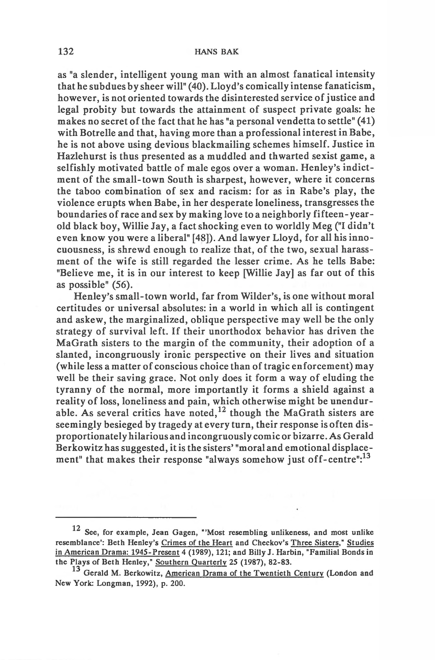as "a slender, intelligent young man with an almost fanatical intensity that he subdues by sheer will" (40). Lloyd's comically intense fanaticism, however, is not oriented towards the disinterested service of justice and legal probity but towards the attainment of suspect private goals: he makes no secret of the fact that he has "a personal vendetta to settle" (41) with Botrelle and that, having more than a professional interest in Babe, he is not above using devious blackmailing schemes himself. Justice in Hazlehurst is thus presented as a muddled and thwarted sexist game, a selfishly motivated battle of male egos over a woman. Henley's indictment of the small-town South is sharpest, however, where it concerns the taboo combination of sex and racism: for as in Rabe's play, the violence erupts when Babe, in her desperate loneliness, transgresses the boundaries of race and sex by making love to a neighborly fifteen- yearold black boy, Willie Jay, a fact shocking even to worldly Meg ("I didn't even know you were a liberal" [48]). And lawyer Lloyd, for all his innocuousness, is shrewd enough to realize that, of the two, sexual harassment of the wife is still regarded the lesser crime. As he tells Babe: "Believe me, it is in our interest to keep [Willie Jay] as far out of this as possible" (56).

Henley's small-town world, far from Wilder's, is one without moral certitudes or universal absolutes: in a world in which all is contingent and askew, the marginalized, oblique perspective may well be the only strategy of survival left. If their unorthodox behavior has driven the MaGrath sisters to the margin of the community, their adoption of a slanted, incongruously ironic perspective on their lives and situation (while less a matter of conscious choice than of tragic enforcement) may well be their saving grace. Not only does it form a way of eluding the tyranny of the normal, more importantly it forms a shield against a reality of loss, loneliness and pain, which otherwise might be unendurable. As several critics have noted,  $12$  though the MaGrath sisters are seemingly besieged by tragedy at every turn, their response is often disproportionately hilarious and incongruously comic or bizarre. As Gerald Berkowitzhas suggested, it is the sisters' "moral and emotional displacement" that makes their response "always somehow just off-centre":<sup>13</sup>

**<sup>12</sup> See, for example, Jean Gagen, "'Most resembling unlikeness, and most unlike resemblance': Beth Henley's Crimes of the Heart and Checkov's Three Sisters," Studies in American Drama: 1945-Present 4 (1989), 121; and Billy J. Harbin, "Familial Bonds in the Plays of Beth Henley," Southern Quarterly 25 (1987), 82-83.**

**<sup>13</sup> Gerald M. Berkowitz, American Drama of the Twentieth Century (London and New York: Longman, 1992), p. 200.**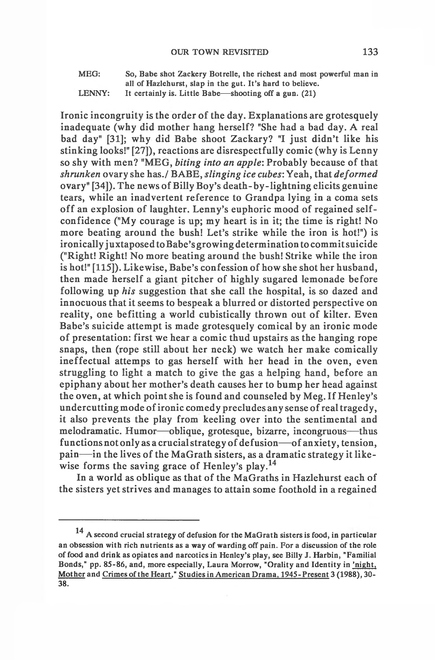**MEG: So, Babe shot Zackery Botrelle, the richest and most powerful man in all of Hazlehurst, slap in the gut. It's hard to believe.**

**LENNY: It certainly is. Little Babe— shooting off a gun. (21)**

Ironic incongruity is the order of the day. Explanations are grotesquely inadequate (why did mother hang herself? "She had a bad day. A real bad day" [31]; why did Babe shoot Zackary? "I just didn't like his stinking looks!" [27]), reactions are disrespectfully comic (why is Lenny so shy with men? "MEG, *biting into an apple*: Probably because of that *shrunken* ovary she has./ BABE, *slinging ice cubes:* Yeah, that *deformed* ovary" [34]). The news of Billy Boy's death-by-lightning elicits genuine tears, while an inadvertent reference to Grandpa lying in a coma sets off an explosion of laughter. Lenny's euphoric mood of regained selfconfidence ("My courage is up; my heart is in it; the time is right! No more beating around the bush! Let's strike while the iron is hot!") is ironically juxtaposed to Babe's growing determination to commit suicide ("Right! Right! No more beating around the bush! Strike while the iron is hot!" [115]). Likewise, Babe's confession of how she shot her husband, then made herself a giant pitcher of highly sugared lemonade before following up *his* suggestion that she call the hospital, is so dazed and innocuous that it seems to bespeak a blurred or distorted perspective on reality, one befitting a world cubistically thrown out of kilter. Even Babe's suicide attempt is made grotesquely comical by an ironic mode of presentation: first we hear a comic thud upstairs as the hanging rope snaps, then (rope still about her neck) we watch her make comically ineffectual attemps to gas herself with her head in the oven, even struggling to light a match to give the gas a helping hand, before an epiphany about her mother's death causes her to bump her head against the oven, at which point she is found and counseled by Meg. If Henley's undercutting mode of ironic comedy precludes any sense of real tragedy, it also prevents the play from keeling over into the sentimental and melodramatic. Humor— oblique, grotesque, bizarre, incongruous— thus functions not only as a crucial strategy of defusion— of anxiety, tension, pain— in the lives of the MaGrath sisters, as a dramatic strategy it likewise forms the saving grace of Henley's play.<sup>14</sup>

In a world as oblique as that of the MaGraths in Hazlehurst each of the sisters yet strives and manages to attain some foothold in a regained

**<sup>14</sup> A second crucial strategy of defusion for the MaGrath sisters is food, in particular an obsession with rich nutrients as a way of warding off pain. For a discussion of the role of food and drink as opiates and narcotics in Henley's play, see Billy J. Harbin, "Familial Bonds," pp. 85-86, and, more especially, Laura Morrow, "Orality and Identity in 'night, Mother and Crimes of the Heart," Studies in American Drama, 1945- Present 3 (1988), 30- 38.**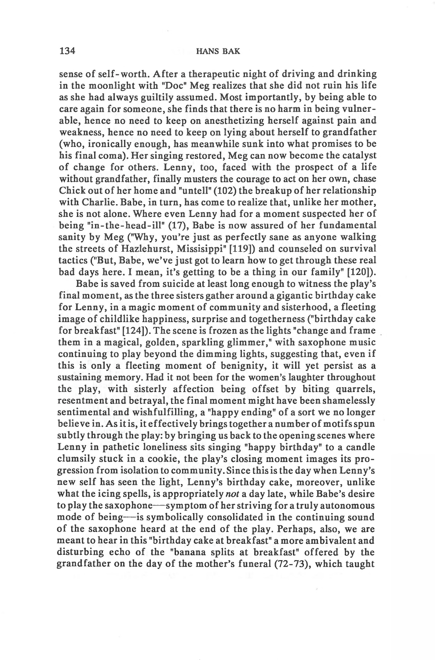sense of self-worth. A fter a therapeutic night of driving and drinking in the moonlight with "Doc" Meg realizes that she did not ruin his life as she had always guiltily assumed. Most importantly, by being able to care again for someone, she finds that there is no harm in being vulnerable, hence no need to keep on anesthetizing herself against pain and weakness, hence no need to keep on lying about herself to grandfather (who, ironically enough, has meanwhile sunk into what promises to be his final coma). Her singing restored, Meg can now become the catalyst of change for others. Lenny, too, faced with the prospect of a life without grandfather, finally musters the courage to act on her own, chase Chick out of her home and "untell" (102) the breakup of her relationship with Charlie. Babe, in turn, has come to realize that, unlike her mother, she is not alone. Where even Lenny had for a moment suspected her of being "in-the-head-ill" (17), Babe is now assured of her fundamental sanity by Meg ("Why, you're just as perfectly sane as anyone walking the streets of Hazlehurst, Missisippi" [119]) and counseled on survival tactics ("But, Babe, we've just got to learn how to get through these real bad days here. I mean, it's getting to be a thing in our family" [120]).

Babe is saved from suicide at least long enough to witness the play's final moment, as the three sisters gather around a gigantic birthday cake for Lenny, in a magic moment of community and sisterhood, a fleeting image of childlike happiness, surprise and togetherness ("birthday cake for breakfast" [124]). The scene is frozen as the lights "change and frame them in a magical, golden, sparkling glimmer," with saxophone music continuing to play beyond the dimming lights, suggesting that, even if this is only a fleeting moment of benignity, it will yet persist as a sustaining memory. Had it not been for the women's laughter throughout the play, with sisterly affection being offset by biting quarrels, resentment and betrayal, the final moment might have been shamelessly sentimental and wishfulfilling, a "happy ending" of a sort we no longer believe in. As it is, it effectively brings together a number of motifs spun subtly through the play: by bringing us back to the opening scenes where Lenny in pathetic loneliness sits singing "happy birthday" to a candle clumsily stuck in a cookie, the play's closing moment images its progression from isolation to community. Since this is the day when Lenny's new self has seen the light, Lenny's birthday cake, moreover, unlike what the icing spells, is appropriately *not* a day late, while Babe's desire to play the saxophone— symptom of her striving for a truly autonomous mode of being—is symbolically consolidated in the continuing sound of the saxophone heard at the end of the play. Perhaps, also, we are meant to hear in this "birthday cake at breakfast" a more ambivalent and disturbing echo of the "banana splits at breakfast" offered by the grandfather on the day of the mother's funeral (72-73), which taught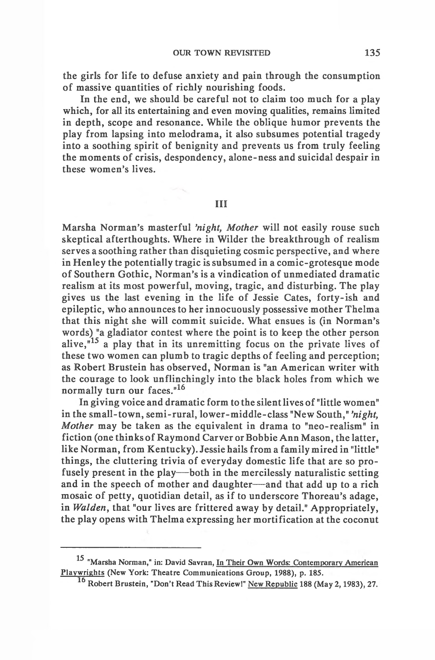the girls for life to defuse anxiety and pain through the consumption of massive quantities of richly nourishing foods.

In the end, we should be careful not to claim too much for a play which, for all its entertaining and even moving qualities, remains limited in depth, scope and resonance. While the oblique humor prevents the play from lapsing into melodrama, it also subsumes potential tragedy into a soothing spirit of benignity and prevents us from truly feeling the moments of crisis, despondency, alone-ness and suicidal despair in these women's lives.

Ill

Marsha Norman's masterful *'night, Mother* will not easily rouse such skeptical afterthoughts. Where in Wilder the breakthrough of realism serves a soothing rather than disquieting cosmic perspective, and where in Henley the potentially tragic is subsumed in a comic-grotesque mode of Southern Gothic, Norman's is a vindication of unmediated dramatic realism at its most powerful, moving, tragic, and disturbing. The play gives us the last evening in the life of Jessie Cates, forty-ish and epileptic, who announces to her innocuously possessive mother Thelma that this night she will commit suicide. What ensues is (in Norman's words) "a gladiator contest where the point is to keep the other person alive,<sup>"15</sup> a play that in its unremitting focus on the private lives of these two women can plumb to tragic depths of feeling and perception; as Robert Brustein has observed, Norman is "an American writer with the courage to look unflinchingly into the black holes from which we normally turn our faces."<sup>16</sup>

In giving voice and dramatic form to the silent lives of "little women" in the small-town, semi-rural, lower-middle-class "New South," *'night, Mother* may be taken as the equivalent in drama to "neo-realism" in fiction (one thinks of Raymond Carver or Bobbie Ann Mason, the latter, like Norman, from Kentucky). Jessie hails from a family mired in "little" things, the cluttering trivia of everyday domestic life that are so profusely present in the play— both in the mercilessly naturalistic setting and in the speech of mother and daughter— and that add up to a rich mosaic of petty, quotidian detail, as if to underscore Thoreau's adage, in *Walden*, that "our lives are frittered away by detail." Appropriately, the play opens with Thelma expressing her mortification at the coconut

**<sup>15</sup> "Marsha Norman," in: David Savran, In Their Own Words: Contemporary American Playwrights (New York: Theatre Communications Group, 1988), p. 185.**

**Robert Brustein, "Don't Read This Review!" New Republic 188 (May 2,1983), 27.**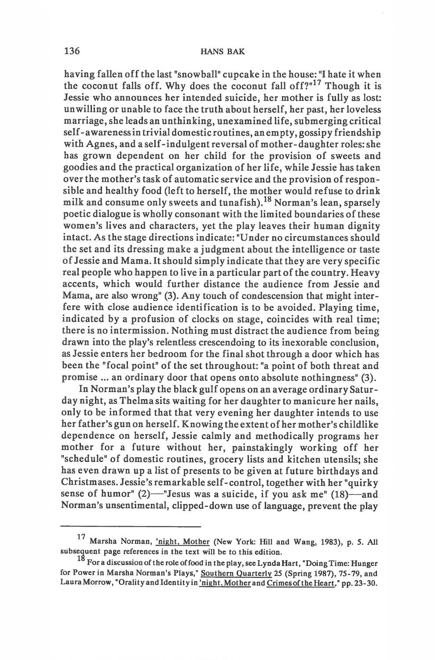having fallen off the last "snowball" cupcake in the house: "I hate it when the coconut falls off. Why does the coconut fall off? $17$ <sup>17</sup> Though it is Jessie who announces her intended suicide, her mother is fully as lost: unwilling or unable to face the truth about herself, her past, her loveless marriage, she leads an unthinking, unexamined life, submerging critical self - awareness in trivial domestic routines, an empty, gossipy friendship with Agnes, and a self-indulgent reversal of mother-daughter roles: she has grown dependent on her child for the provision of sweets and goodies and the practical organization of her life, while Jessie has taken over the mother's task of automatic service and the provision of responsible and healthy food (left to herself, the mother would refuse to drink milk and consume only sweets and tunafish).18 Norman's lean, sparsely poetic dialogue is wholly consonant with the limited boundaries of these women's lives and characters, yet the play leaves their human dignity intact. As the stage directions indicate: "Under no circumstances should the set and its dressing make a judgment about the intelligence or taste of Jessie and Mama. It should simply indicate that they are very specific real people who happen to live in a particular part of the country. Heavy accents, which would further distance the audience from Jessie and Mama, are also wrong" (3). Any touch of condescension that might interfere with close audience identification is to be avoided. Playing time, indicated by a profusion of clocks on stage, coincides with real time; there is no intermission. Nothing must distract the audience from being drawn into the play's relentless crescendoing to its inexorable conclusion, as Jessie enters her bedroom for the final shot through a door which has been the "focal point" of the set throughout: "a point of both threat and promise ... an ordinary door that opens onto absolute nothingness" (3).

In Norman's play the black gulf opens on an average ordinary Saturday night, as Thelma sits waiting for her daughter to manicure her nails, only to be informed that that very evening her daughter intends to use her father's gun on herself. Knowing the extent of her mother's childlike dependence on herself, Jessie calmly and methodically programs her mother for a future without her, painstakingly working off her "schedule" of domestic routines, grocery lists and kitchen utensils; she has even drawn up a list of presents to be given at future birthdays and Christmases. Jessie's remarkable self-control, together with her "quirky sense of humor"  $(2)$ —"Jesus was a suicide, if you ask me"  $(18)$ —and Norman's unsentimental, clipped-down use of language, prevent the play

**<sup>17</sup> Marsha Norman, 'night. Mother (New York: Hill and Wang, 1983), p. 5. All subsequent page references in the text will be to this edition.**

**For a discussion of the role of food in the play, see Lynda Hart, "Doing Time: Hunger for Power in Marsha Norman's Plays," Southern Quarterly 25 (Spring 1987), 75-79, and** Laura Morrow, "Orality and Identity in 'night, Mother and Crimes of the Heart," pp. 23-30.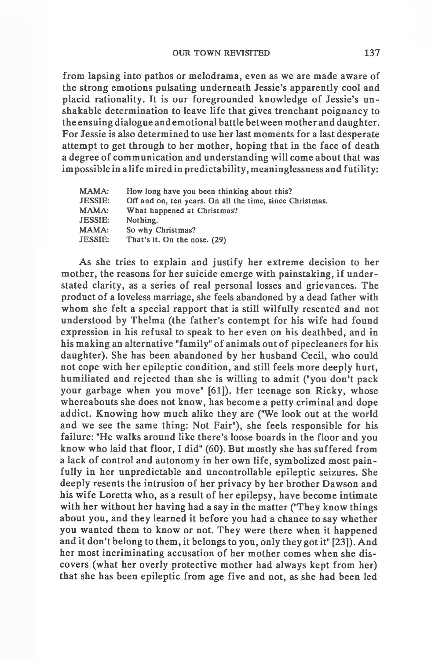from lapsing into pathos or melodrama, even as we are made aware of the strong emotions pulsating underneath Jessie's apparently cool and placid rationality. It is our foregrounded knowledge of Jessie's unshakable determination to leave life that gives trenchant poignancy to the ensuing dialogue and emotional battle between mother and daughter. For Jessie is also determined to use her last moments for a last desperate attempt to get through to her mother, hoping that in the face of death a degree of communication and understanding will come about that was impossible in a life mired in predictability, meaninglessness and futility:

| <b>MAMA:</b>   | How long have you been thinking about this?              |
|----------------|----------------------------------------------------------|
| <b>JESSIE:</b> | Off and on, ten years. On all the time, since Christmas. |
| MAMA:          | What happened at Christmas?                              |
| <b>JESSIE:</b> | Nothing.                                                 |
| MAMA:          | So why Christmas?                                        |
| <b>JESSIE:</b> | That's it. On the nose. (29)                             |
|                |                                                          |

As she tries to explain and justify her extreme decision to her mother, the reasons for her suicide emerge with painstaking, if understated clarity, as a series of real personal losses and grievances. The product of a loveless marriage, she feels abandoned by a dead father with whom she felt a special rapport that is still wilfully resented and not understood by Thelma (the father's contempt for his wife had found expression in his refusal to speak to her even on his deathbed, and in his making an alternative "family" of animals out of pipecleaners for his daughter). She has been abandoned by her husband Cecil, who could not cope with her epileptic condition, and still feels more deeply hurt, humiliated and rejected than she is willing to admit ("you don't pack your garbage when you move" [61]). Her teenage son Ricky, whose whereabouts she does not know, has become a petty criminal and dope addict. Knowing how much alike they are ("We look out at the world and we see the same thing: Not Fair"), she feels responsible for his failure: "He walks around like there's loose boards in the floor and you know who laid that floor, I did" (60). But mostly she has suffered from a lack of control and autonomy in her own life, symbolized most painfully in her unpredictable and uncontrollable epileptic seizures. She deeply resents the intrusion of her privacy by her brother Dawson and his wife Loretta who, as a result of her epilepsy, have become intimate with her without her having had a say in the matter ("They know things about you, and they learned it before you had a chance to say whether you wanted them to know or not. They were there when it happened and it don't belong to them, it belongs to you, only they got it" [23]). And her most incriminating accusation of her mother comes when she discovers (what her overly protective mother had always kept from her) that she has been epileptic from age five and not, as she had been led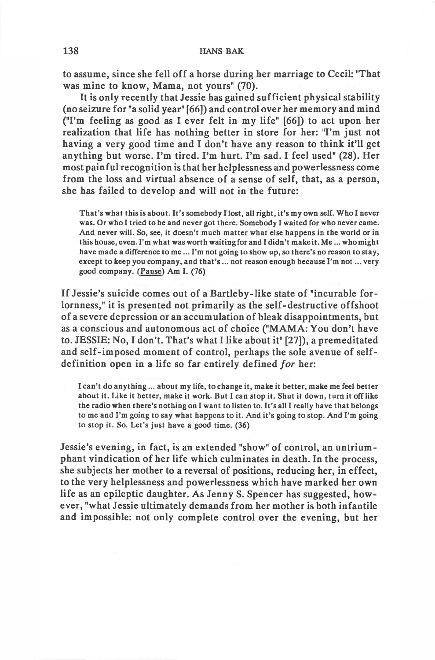to assume, since she fell off a horse during her marriage to Cecil: "That was mine to know, Mama, not yours" (70).

It is only recently that Jessie has gained sufficient physical stability (no seizure for "a solid year" [66]) and control over her memory and mind ("I'm feeling as good as I ever felt in my life" [66]) to act upon her realization that life has nothing better in store for her: "I'm just not having a very good time and I don't have any reason to think it'll get anything but worse. I'm tired. I'm hurt. I'm sad. I feel used" (28). Her most painful recognition is that her helplessness and powerlessness come from the loss and virtual absence of a sense of self, that, as a person, she has failed to develop and will not in the future:

**That's what this is about. It's somebody I lost, all right, it's my own self. Who I never was. Or who I tried to be and never got there. Somebody I waited for who never came. And never will. So, see, it doesn't much matter what else happens in the world or in** this house, even. I'm what was worth waiting for and I didn't make it. Me... who might have made a difference to me ... I'm not going to show up, so there's no reason to stay, except to keep you company, and that's ... not reason enough because I'm not ... very **good company. (Pause) Am I. (76)**

If Jessie's suicide comes out of a Bartleby-like state of "incurable forlornness," it is presented not primarily as the self-destructive offshoot of a severe depression or an accumulation of bleak disappointments, but as a conscious and autonomous act of choice ("MAMA: You don't have to. JESSIE: No, I don't. That's what I like about it" [27]), a premeditated and self-imposed moment of control, perhaps the sole avenue of selfdefinition open in a life so far entirely defined *for* her:

**I can't do anything... about my life, to change it, make it better, make me feel better about it. Like it better, make it work. But I can stop it. Shut it down, turn it off like the radio when there's nothing on I want to listen to. It's all I really have that belongs to me and I'm going to say what happens to it. And it's going to stop. And I'm going to stop it. So. Let's just have a good time. (36)**

Jessie's evening, in fact, is an extended "show" of control, an untriumphant vindication of her life which culminates in death. In the process, she subjects her mother to a reversal of positions, reducing her, in effect, to the very helplessness and powerlessness which have marked her own life as an epileptic daughter. As Jenny S. Spencer has suggested, however, "what Jessie ultimately demands from her mother is both infantile and impossible: not only complete control over the evening, but her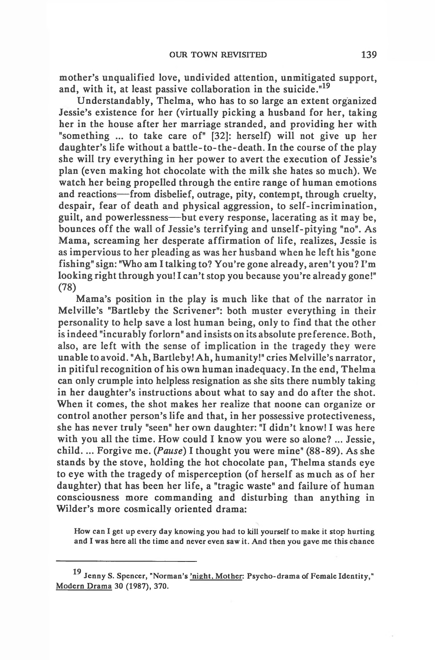mother's unqualified love, undivided attention, unmitigated support, and, with it, at least passive collaboration in the suicide."<sup>19</sup>

Understandably, Thelma, who has to so large an extent organized Jessie's existence for her (virtually picking a husband for her, taking her in the house after her marriage stranded, and providing her with "something ... to take care of" [32]: herself) will not give up her daughter's life without a battle-to-the-death. In the course of the play she will try everything in her power to avert the execution of Jessie's plan (even making hot chocolate with the milk she hates so much). We watch her being propelled through the entire range of human emotions and reactions— from disbelief, outrage, pity, contempt, through cruelty, despair, fear of death and physical aggression, to self-incrimination, guilt, and powerlessness— but every response, lacerating as it may be, bounces off the wall of Jessie's terrifying and unself-pitying "no". As Mama, screaming her desperate affirmation of life, realizes, Jessie is as impervious to her pleading as was her husband when he left his "gone fishing" sign: "Who am I talking to? You're gone already, aren't you? I'm looking right through you! I can't stop you because you're already gone!" (78)

Mama's position in the play is much like that of the narrator in Melville's "Bartleby the Scrivener": both muster everything in their personality to help save a lost human being, only to find that the other is indeed "incurably forlorn" and insists on its absolute preference. Both, also, are left with the sense of implication in the tragedy they were unable to avoid. "Ah, Bartleby! Ah, humanity!" cries Melville's narrator, in pitiful recognition of his own human inadequacy. In the end, Thelma can only crumple into helpless resignation as she sits there numbly taking in her daughter's instructions about what to say and do after the shot. When it comes, the shot makes her realize that noone can organize or control another person's life and that, in her possessive protectiveness, she has never truly "seen" her own daughter: "I didn't know! I was here with you all the time. How could I know you were so alone? ... Jessie, ch ild .... Forgive me. *{Pause)* I thought you were mine" (88-89). As she stands by the stove, holding the hot chocolate pan, Thelma stands eye to eye with the tragedy of misperception (of herself as much as of her daughter) that has been her life, a "tragic waste" and failure of human consciousness more commanding and disturbing than anything in Wilder's more cosmically oriented drama:

**How can I get up every day knowing you had to kill yourself to make it stop hurting and I was here all the time and never even saw it. And then you gave me this chance**

**<sup>19</sup> Jenny S. Spencer, "Norman's 'night. Mother: Psycho-drama of Female Identity," Modern Drama 30 (1987), 370.**